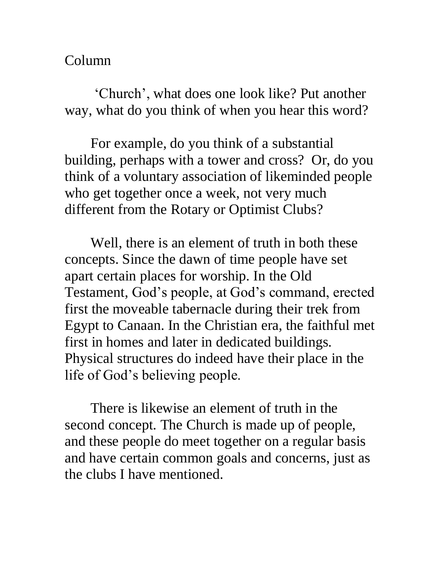Column

'Church', what does one look like? Put another way, what do you think of when you hear this word?

For example, do you think of a substantial building, perhaps with a tower and cross? Or, do you think of a voluntary association of likeminded people who get together once a week, not very much different from the Rotary or Optimist Clubs?

Well, there is an element of truth in both these concepts. Since the dawn of time people have set apart certain places for worship. In the Old Testament, God's people, at God's command, erected first the moveable tabernacle during their trek from Egypt to Canaan. In the Christian era, the faithful met first in homes and later in dedicated buildings. Physical structures do indeed have their place in the life of God's believing people.

There is likewise an element of truth in the second concept. The Church is made up of people, and these people do meet together on a regular basis and have certain common goals and concerns, just as the clubs I have mentioned.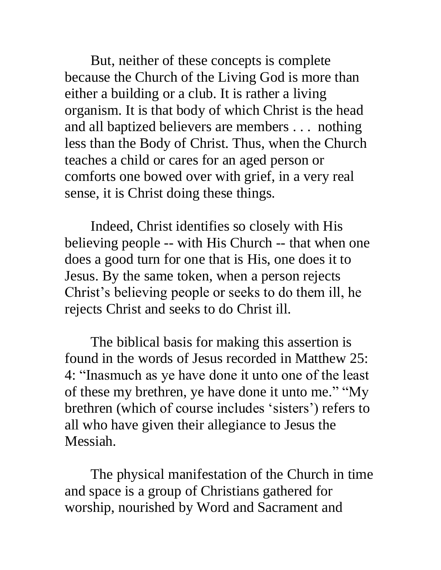But, neither of these concepts is complete because the Church of the Living God is more than either a building or a club. It is rather a living organism. It is that body of which Christ is the head and all baptized believers are members . . . nothing less than the Body of Christ. Thus, when the Church teaches a child or cares for an aged person or comforts one bowed over with grief, in a very real sense, it is Christ doing these things.

Indeed, Christ identifies so closely with His believing people -- with His Church -- that when one does a good turn for one that is His, one does it to Jesus. By the same token, when a person rejects Christ's believing people or seeks to do them ill, he rejects Christ and seeks to do Christ ill.

The biblical basis for making this assertion is found in the words of Jesus recorded in Matthew 25: 4: "Inasmuch as ye have done it unto one of the least of these my brethren, ye have done it unto me." "My brethren (which of course includes 'sisters') refers to all who have given their allegiance to Jesus the Messiah.

The physical manifestation of the Church in time and space is a group of Christians gathered for worship, nourished by Word and Sacrament and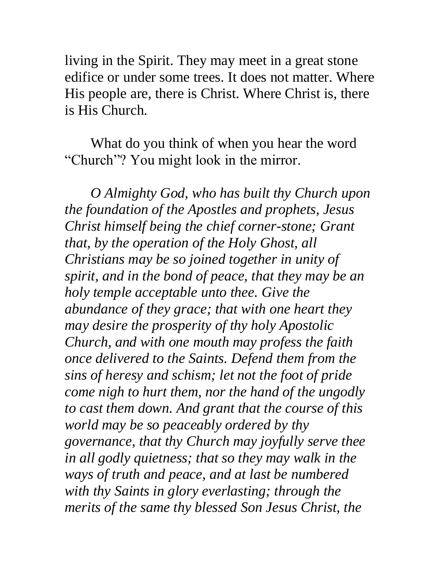living in the Spirit. They may meet in a great stone edifice or under some trees. It does not matter. Where His people are, there is Christ. Where Christ is, there is His Church.

What do you think of when you hear the word "Church"? You might look in the mirror.

*O Almighty God, who has built thy Church upon the foundation of the Apostles and prophets, Jesus Christ himself being the chief corner-stone; Grant that, by the operation of the Holy Ghost, all Christians may be so joined together in unity of spirit, and in the bond of peace, that they may be an holy temple acceptable unto thee. Give the abundance of they grace; that with one heart they may desire the prosperity of thy holy Apostolic Church, and with one mouth may profess the faith once delivered to the Saints. Defend them from the sins of heresy and schism; let not the foot of pride come nigh to hurt them, nor the hand of the ungodly to cast them down. And grant that the course of this world may be so peaceably ordered by thy governance, that thy Church may joyfully serve thee in all godly quietness; that so they may walk in the ways of truth and peace, and at last be numbered with thy Saints in glory everlasting; through the merits of the same thy blessed Son Jesus Christ, the*